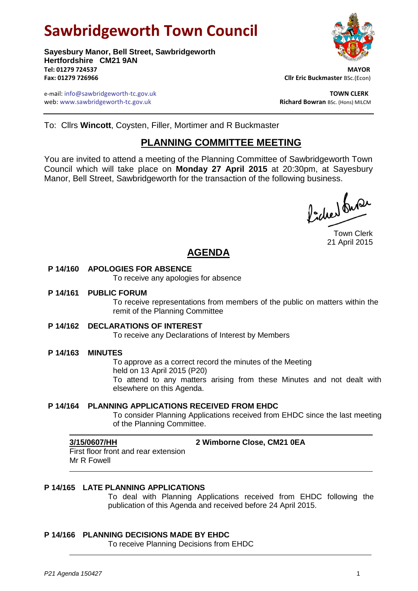# **Sawbridgeworth Town Council**

**Sayesbury Manor, Bell Street, Sawbridgeworth Hertfordshire CM21 9AN Tel: 01279 724537 MAYOR Fax: 01279 726966 Cllr Eric Buckmaster** BSc.(Econ)

e-mail: info@sawbridgeworth-tc.gov.uk **TOWN CLERK** web: www.sawbridgeworth-tc.gov.uk<br> **Richard Bowran** BSc. (Hons) MILCM



To: Cllrs **Wincott**, Coysten, Filler, Mortimer and R Buckmaster

# **PLANNING COMMITTEE MEETING**

You are invited to attend a meeting of the Planning Committee of Sawbridgeworth Town Council which will take place on **Monday 27 April 2015** at 20:30pm, at Sayesbury Manor, Bell Street, Sawbridgeworth for the transaction of the following business.

ladres buse

Town Clerk 21 April 2015

# **AGENDA**

#### **P 14/160 APOLOGIES FOR ABSENCE**

To receive any apologies for absence

#### **P 14/161 PUBLIC FORUM**

To receive representations from members of the public on matters within the remit of the Planning Committee

#### **P 14/162 DECLARATIONS OF INTEREST**

To receive any Declarations of Interest by Members

#### **P 14/163 MINUTES**

To approve as a correct record the minutes of the Meeting held on 13 April 2015 (P20) To attend to any matters arising from these Minutes and not dealt with elsewhere on this Agenda.

#### **P 14/164 PLANNING APPLICATIONS RECEIVED FROM EHDC**

To consider Planning Applications received from EHDC since the last meeting of the Planning Committee.

**3/15/0607/HH 2 Wimborne Close, CM21 0EA**

First floor front and rear extension Mr R Fowell

### **P 14/165 LATE PLANNING APPLICATIONS**

To deal with Planning Applications received from EHDC following the publication of this Agenda and received before 24 April 2015.

#### **P 14/166 PLANNING DECISIONS MADE BY EHDC**

To receive Planning Decisions from EHDC